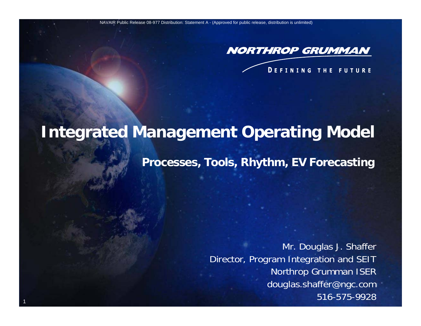

#### **DEFINING THE FUTURE**

# **Integrated Management Operating Model**

1

**Processes, Tools, Rhythm, EV Forecasting**

Mr. Douglas J. Shaffer Director, Program Integration and SEIT Northrop Grumman ISER douglas.shaffer@ngc.com 516-575-9928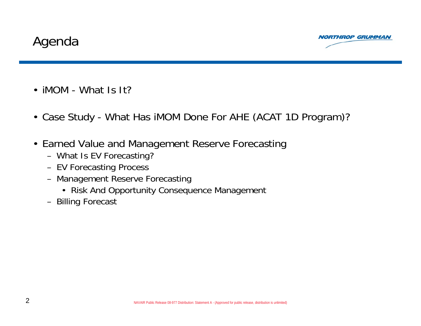

- iMOM What Is It?
- Case Study What Has iMOM Done For AHE (ACAT 1D Program)?
- Earned Value and Management Reserve Forecasting
	- What Is EV Forecasting?
	- EV Forecasting Process
	- Management Reserve Forecasting
		- Risk And Opportunity Consequence Management
	- Billing Forecast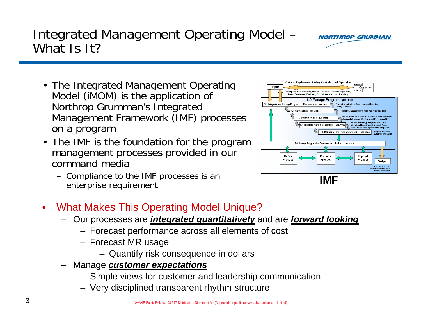### Integrated Management Operating Model – What Is It?

- The Integrated Management Operating Model (iMOM) is the application of Northrop Grumman's Integrated Management Framework (IMF) processes on a program
- The IMF is the foundation for the program management processes provided in our command media
	- Compliance to the IMF processes is an enterprise requirement



IORTHROP GRIJMMA

#### •What Makes This Operating Model Unique?

- Our processes are *integrated quantitatively* and are *forward looking*
	- Forecast performance across all elements of cost
	- Forecast MR usage
		- Quantify risk consequence in dollars
- Manage *customer expectations*
	- Simple views for customer and leadership communication
	- Very disciplined transparent rhythm structure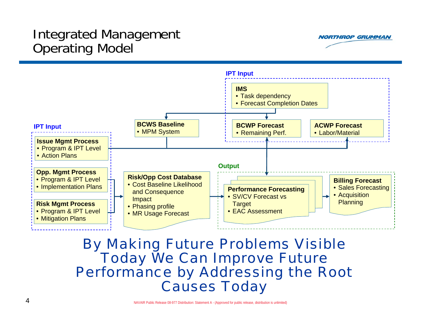### Integrated Management Operating Model





*By Making Future Problems Visible Today We Can Improve Future Performance by Addressing the Root Causes Today*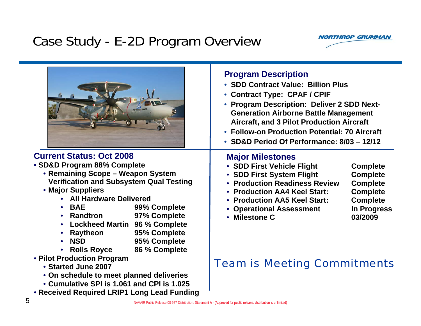# Case Study - E-2D Program Overview

• **Received Required LRIP1 Long Lead Funding**



|                                                                                                                                                                                                                                                                                                                                                                                                                                                       | <b>Program Description</b><br>• SDD Contract Value: Billion Plus<br>• Contract Type: CPAF / CPIF<br>• Program Description: Deliver 2 SDD Next-<br><b>Generation Airborne Battle Management</b><br><b>Aircraft, and 3 Pilot Production Aircraft</b><br><b>Follow-on Production Potential: 70 Aircraft</b><br>SD&D Period Of Performance: 8/03 - 12/12 |                                                                                                                       |  |  |  |
|-------------------------------------------------------------------------------------------------------------------------------------------------------------------------------------------------------------------------------------------------------------------------------------------------------------------------------------------------------------------------------------------------------------------------------------------------------|------------------------------------------------------------------------------------------------------------------------------------------------------------------------------------------------------------------------------------------------------------------------------------------------------------------------------------------------------|-----------------------------------------------------------------------------------------------------------------------|--|--|--|
| <b>Current Status: Oct 2008</b><br>• SD&D Program 88% Complete<br>• Remaining Scope - Weapon System<br><b>Verification and Subsystem Qual Testing</b><br>• Major Suppliers<br><b>All Hardware Delivered</b><br><b>BAE</b><br>99% Complete<br>$\bullet$<br>97% Complete<br>Randtron<br><b>Lockheed Martin 96 % Complete</b><br>95% Complete<br>Raytheon<br><b>NSD</b><br>95% Complete<br>$\bullet$<br>86 % Complete<br><b>Rolls Royce</b><br>$\bullet$ | <b>Major Milestones</b><br>• SDD First Vehicle Flight<br>• SDD First System Flight<br>• Production Readiness Review<br>• Production AA4 Keel Start:<br>• Production AA5 Keel Start:<br>• Operational Assessment<br>• Milestone C                                                                                                                     | <b>Complete</b><br><b>Complete</b><br><b>Complete</b><br><b>Complete</b><br><b>Complete</b><br>In Progress<br>03/2009 |  |  |  |
| • Pilot Production Program<br>• Started June 2007<br>• On schedule to meet planned deliveries<br>• Cumulative SPI is 1.061 and CPI is 1.025                                                                                                                                                                                                                                                                                                           | <b>Team is Meeting Commitments</b>                                                                                                                                                                                                                                                                                                                   |                                                                                                                       |  |  |  |

ш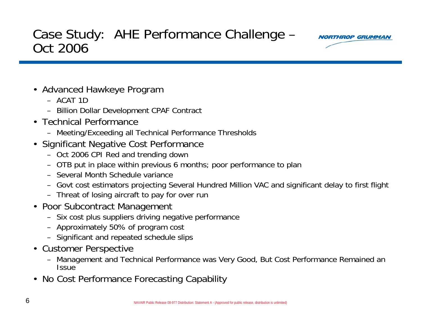### Case Study: AHE Performance Challenge – Oct 2006



- Advanced Hawkeye Program
	- ACAT 1D
	- Billion Dollar Development CPAF Contract
- Technical Performance
	- Meeting/Exceeding all Technical Performance Thresholds
- Significant Negative Cost Performance
	- Oct 2006 CPI Red and trending down
	- OTB put in place within previous 6 months; poor performance to plan
	- Several Month Schedule variance
	- Govt cost estimators projecting Several Hundred Million VAC and significant delay to first flight
	- Threat of losing aircraft to pay for over run
- Poor Subcontract Management
	- Six cost plus suppliers driving negative performance
	- Approximately 50% of program cost
	- Significant and repeated schedule slips
- Customer Perspective
	- Management and Technical Performance was Very Good, But Cost Performance Remained an **Issue**
- No Cost Performance Forecasting Capability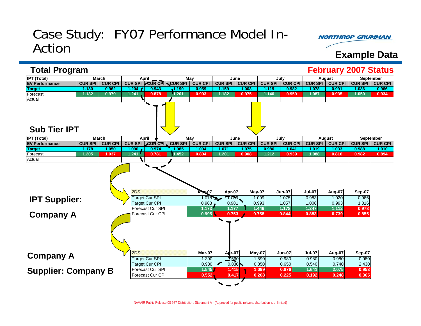### Case Study: FY07 Performance Model In-Action

**NORTHROP GRUMMAN** 

#### **Example Data**

#### **Total Program**

#### **February 2007 Status**

| <b>IPT (Total)</b>         |                | <b>March</b>   |                | April                                                              |                | May                                            |                                      | June           |                                   | July                                     |                                          | <b>August</b>                     |                                   | September      |
|----------------------------|----------------|----------------|----------------|--------------------------------------------------------------------|----------------|------------------------------------------------|--------------------------------------|----------------|-----------------------------------|------------------------------------------|------------------------------------------|-----------------------------------|-----------------------------------|----------------|
| <b>EV Performance</b>      | <b>CUR SPI</b> | <b>CUR CPI</b> | <b>CUR SPI</b> | CUR CPI CUR SPI                                                    |                | <b>CUR CPI</b>                                 | <b>CUR SPI</b>                       | <b>CUR CPI</b> | <b>CUR SPI</b>                    | <b>CUR CPI</b>                           | <b>CUR SPI</b>                           | <b>CUR CPI</b>                    | <b>CUR SPI</b>                    | <b>CUR CPI</b> |
| <b>Target</b>              | 1.130          | 0.962          | 1.204          | 0.943                                                              | 1.190          | 0.959                                          | 1.159                                | 1.003          | 1.119                             | 0.982                                    | 1.078                                    | 0.991                             | 1.036                             | 0.966          |
| Forecast                   | 1.132          | 0.979          | 1.241          | 0.878                                                              | 1.201          | 0.903                                          | 1.182                                | 0.975          | 1.140                             | 0.959                                    | 1.087                                    | 0.935                             | 1.050                             | 0.934          |
| Actual                     |                |                |                |                                                                    |                |                                                |                                      |                |                                   |                                          |                                          |                                   |                                   |                |
| <b>Sub Tier IPT</b>        |                |                |                |                                                                    |                |                                                |                                      |                |                                   |                                          |                                          |                                   |                                   |                |
| <b>IPT (Total)</b>         |                | <b>March</b>   |                | April                                                              |                | May                                            |                                      | June           |                                   | July                                     |                                          | <b>August</b>                     | September                         |                |
| <b>EV Performance</b>      | <b>CUR SPI</b> | <b>CUR CPI</b> | <b>CUR SPI</b> | $LCUR$ $CH$                                                        | <b>CUR SPI</b> | <b>CUR CPI</b>                                 | <b>CUR SPI</b>                       | <b>CUR CPI</b> | <b>CUR SPI</b>                    | <b>CUR CPI</b>                           | <b>CUR SPI</b>                           | <b>CUR CPI</b>                    | <b>CUR SPI</b>                    | <b>CUR CPI</b> |
| <b>Target</b>              | 1.178          | 1.050          | 1.090          | 0.974                                                              | 1.085          | 1.004                                          | 1.071                                | 1.075          | 0.986                             | 1.041                                    | 1.019                                    | 1.033                             | 0.988                             | 1.010          |
| Forecast                   | 1.205          | 1.037          | 1.241          | 0.781                                                              | 1.452          | 0.804                                          | 1.201                                | 0.908          | 1.212                             | 0.939                                    | 1.088                                    | 0.816                             | 0.982                             | 0.894          |
| Actual                     |                |                |                |                                                                    |                |                                                |                                      |                |                                   |                                          |                                          |                                   |                                   |                |
| <b>IPT Supplier:</b>       |                |                | 2DS            | <b>Target Cur SPI</b><br><b>Target Cur CPI</b><br>Forecast Cur SPI |                | Max <sub>c</sub> 07<br>1.078<br>0.963<br>1.173 | Apr-07<br>$-1.069$<br>0.981<br>1.177 |                | May-07<br>1.099<br>0.993<br>1.446 | <b>Jun-07</b><br>1.075<br>1.057<br>1.178 | <b>Jul-07</b><br>0.983<br>1.006<br>1.247 | Aug-07<br>1.020<br>0.993<br>1.112 | Sep-07<br>0.986<br>1.016<br>0.978 |                |
| <b>Company A</b>           |                |                |                | Forecast Cur CPI                                                   |                | 0.995                                          | 0.753                                |                | 0.758                             | 0.844                                    | 0.883                                    | 0.739                             | 0.855                             |                |
|                            |                |                | 2DS            |                                                                    |                | Mar-07                                         | Adr-07                               |                | May-07                            | <b>Jun-07</b>                            | <b>Jul-07</b>                            | Aug-07                            | <b>Sep-07</b>                     |                |
| <b>Company A</b>           |                |                |                | <b>Target Cur SPI</b>                                              |                | 1.390                                          |                                      | .560           | 1.590                             | 0.980                                    | 0.980                                    | 0.980                             | 0.980                             |                |
|                            |                |                |                | <b>Target Cur CPI</b>                                              |                | 0.980                                          |                                      | 0.830          | 0.850                             | 0.650                                    | 0.540                                    | 0.740                             | 2.430                             |                |
|                            |                |                |                | Forecast Cur SPI                                                   |                | 1.545                                          | 1.415                                |                | 1.099                             | 0.876                                    | 1.641                                    | 2.075                             | 0.953                             |                |
| <b>Supplier: Company B</b> |                |                |                | Forecast Cur CPI                                                   |                | 0.552                                          | 0.417                                |                | 0.208                             | 0.225                                    | 0.192                                    | 0.248                             | 0.365                             |                |
|                            |                |                |                |                                                                    |                |                                                |                                      |                |                                   |                                          |                                          |                                   |                                   |                |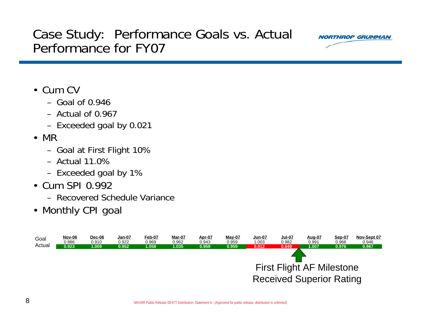### Case Study: Performance Goals vs. Actual Performance for FY07



- Cum CV
	- Goal of 0.946
	- Actual of 0.967
	- Exceeded goal by 0.021
- MR
	- Goal at First Flight 10%
	- Actual 11.0%
	- Exceeded goal by 1%
- Cum SPI 0.992
	- Recovered Schedule Variance
- Monthly CPI goal

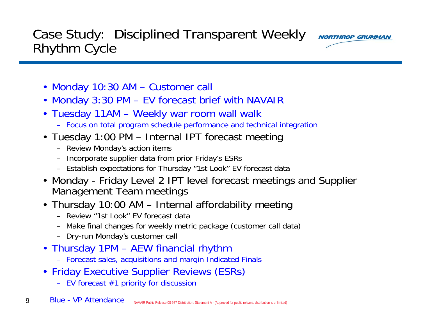### Case Study: Disciplined Transparent Weekly Rhythm Cycle



- Monday 10:30 AM Customer call
- Monday 3:30 PM EV forecast brief with NAVAIR
- Tuesday 11AM Weekly war room wall walk
	- Focus on total program schedule performance and technical integration
- Tuesday 1:00 PM Internal IPT forecast meeting
	- Review Monday's action items
	- Incorporate supplier data from prior Friday's ESRs
	- Establish expectations for Thursday "1st Look" EV forecast data
- Monday Friday Level 2 IPT level forecast meetings and Supplier Management Team meetings
- Thursday 10:00 AM Internal affordability meeting
	- Review "1st Look" EV forecast data
	- Make final changes for weekly metric package (customer call data)
	- Dry-run Monday's customer call
- Thursday 1PM AEW financial rhythm
	- Forecast sales, acquisitions and margin Indicated Finals
- Friday Executive Supplier Reviews (ESRs)
	- EV forecast #1 priority for discussion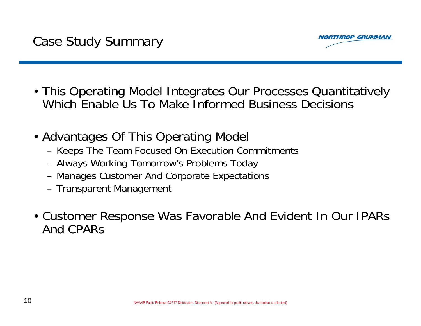

- This Operating Model Integrates Our Processes Quantitatively Which Enable Us To Make Informed Business Decisions
- Advantages Of This Operating Model
	- Keeps The Team Focused On Execution Commitments
	- Always Working Tomorrow's Problems Today
	- Manages Customer And Corporate Expectations
	- Transparent Management
- Customer Response Was Favorable And Evident In Our IPARs And CPARs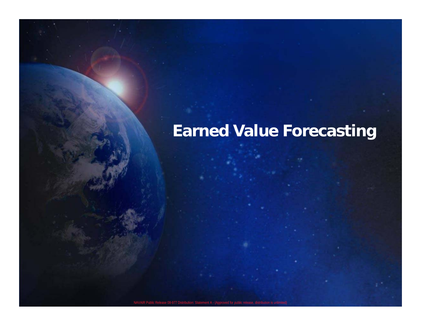# **Earned Value Forecasting**

NAVAIR Public Release 08-977 Distribution: Statement A - (Approved for public release, distribution is unlimited)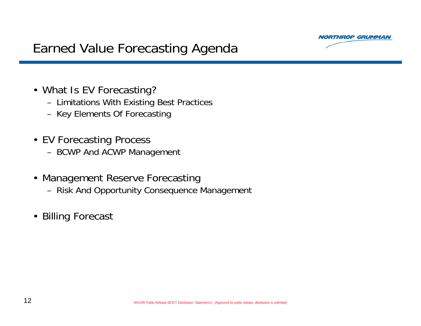

# Earned Value Forecasting Agenda

- What Is EV Forecasting?
	- Limitations With Existing Best Practices
	- Key Elements Of Forecasting
- EV Forecasting Process
	- BCWP And ACWP Management
- Management Reserve Forecasting
	- Risk And Opportunity Consequence Management
- Billing Forecast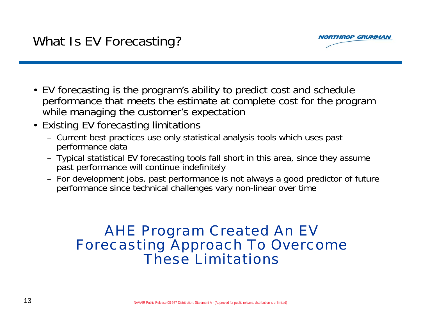# What Is EV Forecasting?

**THROP GRUMMAN** 

- EV forecasting is the program's ability to predict cost and schedule performance that meets the estimate at complete cost for the program while managing the customer's expectation
- Existing EV forecasting limitations
	- Current best practices use only statistical analysis tools which uses past performance data
	- Typical statistical EV forecasting tools fall short in this area, since they assume past performance will continue indefinitely
	- For development jobs, past performance is not always a good predictor of future performance since technical challenges vary non-linear over time

### *AHE Program Created An EV Forecasting Approach To Overcome These Limitations*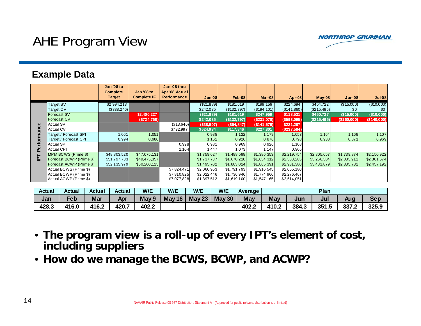

#### **Example Data**

|   |                          | Jan '08 to<br><b>Complete</b> | Jan '08 to         | Jan '08 thru<br>Apr '08 Actual |              |               |              |               |               |             |             |
|---|--------------------------|-------------------------------|--------------------|--------------------------------|--------------|---------------|--------------|---------------|---------------|-------------|-------------|
|   |                          | <b>Target</b>                 | <b>Complete IF</b> | <b>Performance</b>             | $Jan-08$     | <b>Feb-08</b> | Mar-08       | <b>Apr-08</b> | <b>May-08</b> | $Jun-08$    | Jul-08      |
|   | Target SV                | \$2,994,213                   |                    |                                | ( \$21, 889] | \$181,619     | \$199,156    | \$224,694     | \$454,722     | (\$15,000)  | (\$10,000)  |
|   | Target CV                | (\$338,246)                   |                    |                                | \$242,035    | (\$132,797)   | (\$194, 101) | (\$141,860)   | (S215, 495)   | \$0         | \$0         |
|   | Forecast SV              |                               | \$2,400,227        |                                | (S21, 889)   | \$181,619     | \$247,959    | \$118,531     | \$460,727     | (\$15,000)  | (\$10,000)  |
|   | <b>Forecast CV</b>       |                               | (S724,768)         |                                | \$242,035    | (\$132,797)   | (\$231,078)  | (\$593,095)   | (S215, 495)   | (\$160,000) | (\$140,000) |
|   | <b>Actual SV</b>         |                               |                    | (\$13,646)                     | (\$38,507)   | (S54, 847)    | (\$141,579)  | \$221,287     |               |             |             |
|   | <b>Actual CV</b>         |                               |                    | \$732,997                      | \$624,934    | \$117,846     | \$227,801    | (\$237,584)   |               |             |             |
|   | Target / Forecast SPI    | 1.061                         | 1.051              |                                | 0.988        | 1.122         | 1.179        | 1.053         | 1.164         | 1.169       | 1.107       |
|   | Target / Forecast CPI    | 0.994                         | 0.986              |                                | 1.162        | 0.926         | 0.876        | 0.798         | 0.938         | 0.871       | 0.969       |
|   | <b>Actual SPI</b>        |                               |                    | 0.998                          | 0.981        | 0.969         | 0.926        | 1.108         |               |             |             |
|   | <b>Actual CPI</b>        |                               |                    | 1.104                          | 1.447        | 1.073         | 1.147        | 0.905         |               |             |             |
|   | MPM BCWS (Prime \$)      | \$48,803,520                  | \$47,075,131       |                                | \$1,759,627  | \$1,488,598   | \$1,386,353  | \$2,219,754   | \$2,805,657   | \$1,739,874 | \$2,150,922 |
| 뜨 | Forecast BCWP (Prime \$) | \$51,797,733                  | \$49,475,357       |                                | \$1,737,737  | \$1,670,218   | \$1,634,312  | \$2,338,285   | \$3,266,384   | \$2,033,911 | \$2,381,674 |
|   | Forecast ACWP (Prime \$) | \$52,135,979                  | \$50,200,125       |                                | \$1,495,702  | \$1,803,014   | \$1,865,391  | \$2,931,380   | \$3,481,879   | \$2,335,731 | \$2,457,192 |
|   | Actual BCWS (Prime \$)   |                               |                    | \$7,824,471                    | \$2,060,953  | \$1,791,793   | \$1,916,545  | \$2,055,180   |               |             |             |
|   | Actual BCWP (Prime \$)   |                               |                    | \$7,810,825                    | \$2,022,446  | \$1,736,946   | \$1,774,966  | \$2,276,467   |               |             |             |
|   | Actual ACWP (Prime \$)   |                               |                    | \$7,077,828                    | \$1,397,512  | \$1,619,100   | \$1,547,165  | \$2,514,051   |               |             |             |

| Actual | Actual                      | Actual     | Actual     | W/E   | W/E    | W/E           | W/E           | <b>Average</b> | Plan  |       |       |       |       |
|--------|-----------------------------|------------|------------|-------|--------|---------------|---------------|----------------|-------|-------|-------|-------|-------|
| Jan    | $\overline{\phantom{a}}$ eb | <b>Mar</b> | <b>Apr</b> | May 9 | May 16 | <b>May 23</b> | <b>May 30</b> | <b>May</b>     | May   | Jun   | Jul   | Auc   | Sep   |
| 428.3  | 416.0                       | 416.2      | 420.7      | 402.2 |        |               |               | 402.2          | 410.2 | 384.3 | 351.5 | 337.2 | 325.9 |

- **The program view is a roll-up of every IPT's element of cost, including suppliers**
- **How do we manage the BCWS, BCWP, and ACWP?**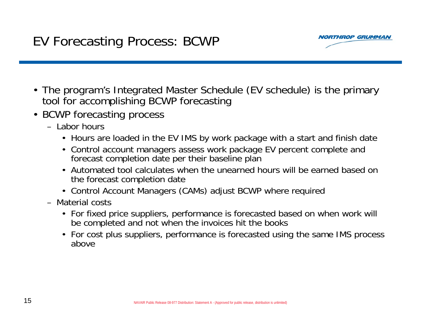

- The program's Integrated Master Schedule (EV schedule) is the primary tool for accomplishing BCWP forecasting
- BCWP forecasting process
	- Labor hours
		- Hours are loaded in the EV IMS by work package with a start and finish date
		- Control account managers assess work package EV percent complete and forecast completion date per their baseline plan
		- Automated tool calculates when the unearned hours will be earned based on the forecast completion date
		- Control Account Managers (CAMs) adjust BCWP where required
	- Material costs
		- For fixed price suppliers, performance is forecasted based on when work will be completed and not when the invoices hit the books
		- For cost plus suppliers, performance is forecasted using the same IMS process above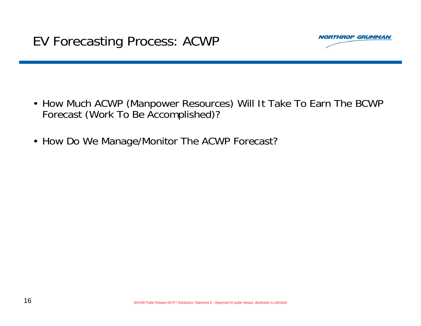

- How Much ACWP (Manpower Resources) Will It Take To Earn The BCWP Forecast (Work To Be Accomplished)?
- How Do We Manage/Monitor The ACWP Forecast?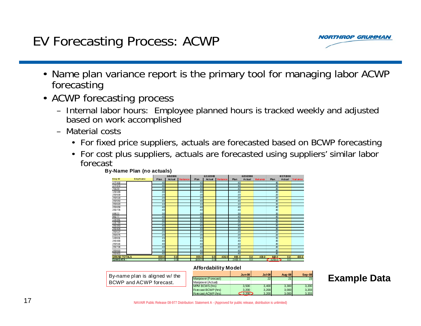# EV Forecasting Process: ACWP



- • Name plan variance report is the primary tool for managing labor ACWP forecasting
- ACWP forecasting process
	- Internal labor hours: Employee planned hours is tracked weekly and adjusted based on work accomplished
	- Material costs
		- For fixed price suppliers, actuals are forecasted based on BCWP forecasting
		- For cost plus suppliers, actuals are forecasted using suppliers' similar labor forecast



#### **Affordability Model**

| ed w/ the : |                       | $Jun-08$ | <b>Jul-08</b> | <b>Aug-08</b> | Sep-08 |
|-------------|-----------------------|----------|---------------|---------------|--------|
|             | Manpow er (Forecast)  | 22       | 22            | 21            | 23     |
| recast.     | Manpow er (Actual)    |          |               |               |        |
|             | <b>MPM BCWS (hrs)</b> | 3.500    | 3.400         | 3.300         | 3.200  |
|             | Fore cast BCWP (hrs)  | 3.200    | 3.200         | 3.000         | 3.203  |
|             | Fore cast ACWP (hrs)  | 3,200    | 3,200         | 3,000         | 3.203  |

#### **Example Data**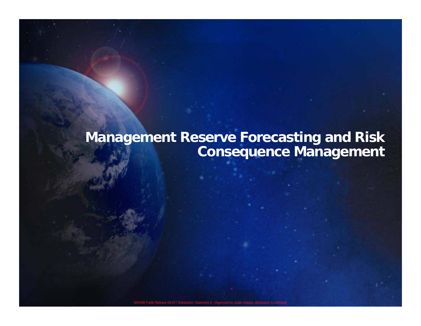#### **Management Reserve Forecasting and Risk Consequence Management**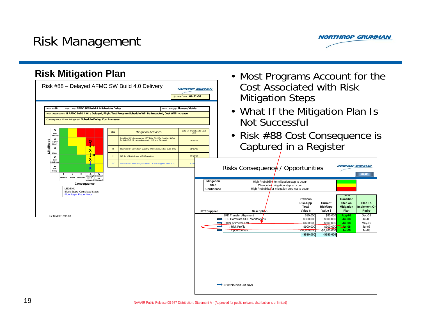# Risk Management



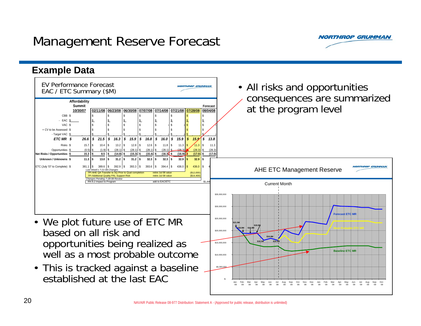# Management Reserve Forecast



#### **Example Data**

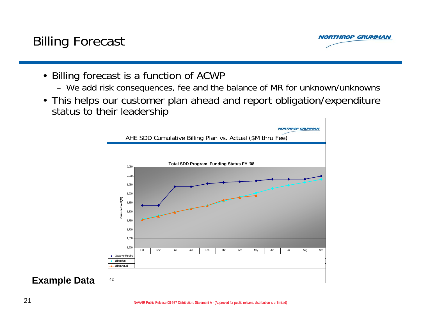# Billing Forecast



- Billing forecast is a function of ACWP
	- We add risk consequences, fee and the balance of MR for unknown/unknowns
- This helps our customer plan ahead and report obligation/expenditure status to their leadership



**Example Data**